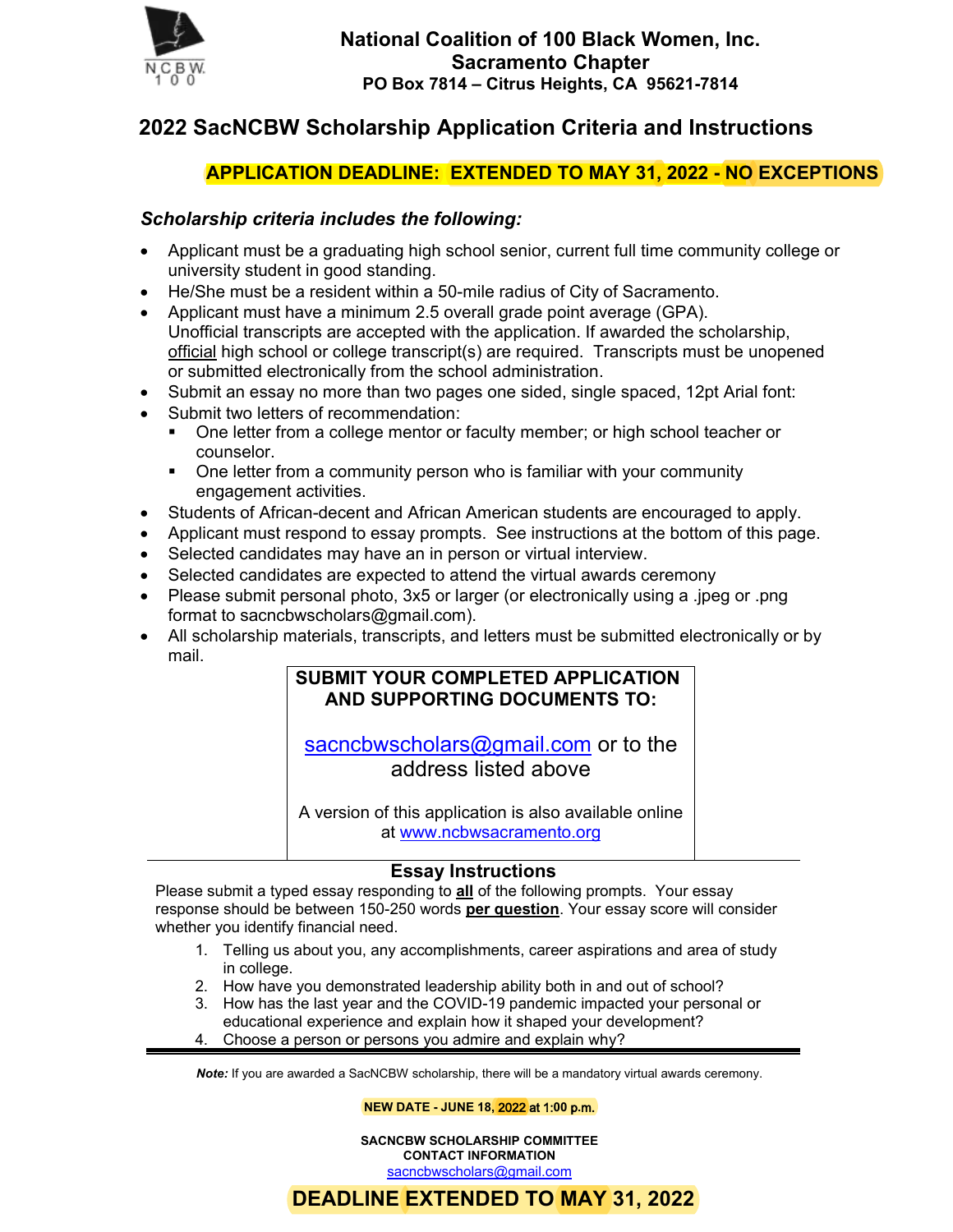

# **2022 SacNCBW Scholarship Application Criteria and Instructions**

## **APPLICATION DEADLINE: EXTENDED TO MAY 31, 2022 - NO EXCEPTIONS**

### *Scholarship criteria includes the following:*

- Applicant must be a graduating high school senior, current full time community college or university student in good standing.
- He/She must be a resident within a 50-mile radius of City of Sacramento.
- Applicant must have a minimum 2.5 overall grade point average (GPA). Unofficial transcripts are accepted with the application. If awarded the scholarship, official high school or college transcript(s) are required. Transcripts must be unopened or submitted electronically from the school administration.
- Submit an essay no more than two pages one sided, single spaced, 12pt Arial font:
- Submit two letters of recommendation:
	- One letter from a college mentor or faculty member; or high school teacher or counselor.
	- One letter from a community person who is familiar with your community engagement activities.
- Students of African-decent and African American students are encouraged to apply.
- Applicant must respond to essay prompts. See instructions at the bottom of this page.
- Selected candidates may have an in person or virtual interview.
- Selected candidates are expected to attend the virtual awards ceremony
- Please submit personal photo, 3x5 or larger (or electronically using a .jpeg or .png format to sacncbwscholars@gmail.com).
- All scholarship materials, transcripts, and letters must be submitted electronically or by mail.

### **SUBMIT YOUR COMPLETED APPLICATION AND SUPPORTING DOCUMENTS TO:**

sacncbwscholars@gmail.com or to the address listed above

A version of this application is also available online at www.ncbwsacramento.org

#### **Essay Instructions**

Please submit a typed essay responding to **all** of the following prompts. Your essay response should be between 150-250 words **per question**. Your essay score will consider whether you identify financial need.

- 1. Telling us about you, any accomplishments, career aspirations and area of study in college.
- 2. How have you demonstrated leadership ability both in and out of school?
- 3. How has the last year and the COVID-19 pandemic impacted your personal or educational experience and explain how it shaped your development?
- 4. Choose a person or persons you admire and explain why?

*Note:* If you are awarded a SacNCBW scholarship, there will be a mandatory virtual awards ceremony.

**NEW DATE - JUNE 18,** 2022 at 1:**00** p**.**m.

**SACNCBW SCHOLARSHIP COMMITTEE CONTACT INFORMATION**  sacncbwscholars@gmail.com

## **DEADLINE EXTENDED TO MAY 31, 2022**